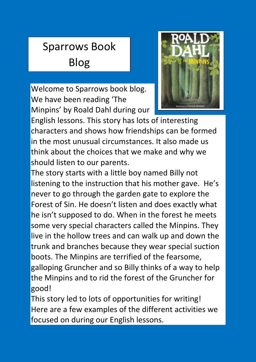## Sparrows Book Blog

Welcome to Sparrows book blog. We have been reading 'The Minpins' by Roald Dahl during our  $\frac{1}{26}$ .



English lessons. This story has lots of interesting characters and shows how friendships can be formed in the most unusual circumstances. It also made us think about the choices that we make and why we should listen to our parents.

The story starts with a little boy named Billy not listening to the instruction that his mother gave. He's never to go through the garden gate to explore the Forest of Sin. He doesn't listen and does exactly what he isn't supposed to do. When in the forest he meets some very special characters called the Minpins. They live in the hollow trees and can walk up and down the trunk and branches because they wear special suction boots. The Minpins are terrified of the fearsome, galloping Gruncher and so Billy thinks of a way to help the Minpins and to rid the forest of the Gruncher for good!

This story led to lots of opportunities for writing! Here are a few examples of the different activities we focused on during our English lessons.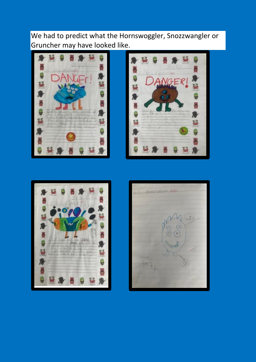We had to predict what the Hornswoggler, Snozzwangler or Gruncher may have looked like.







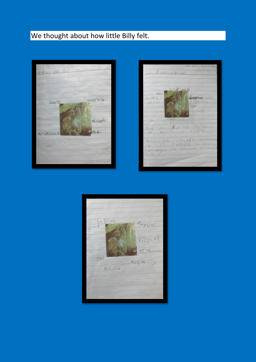## We thought about how little Billy felt.